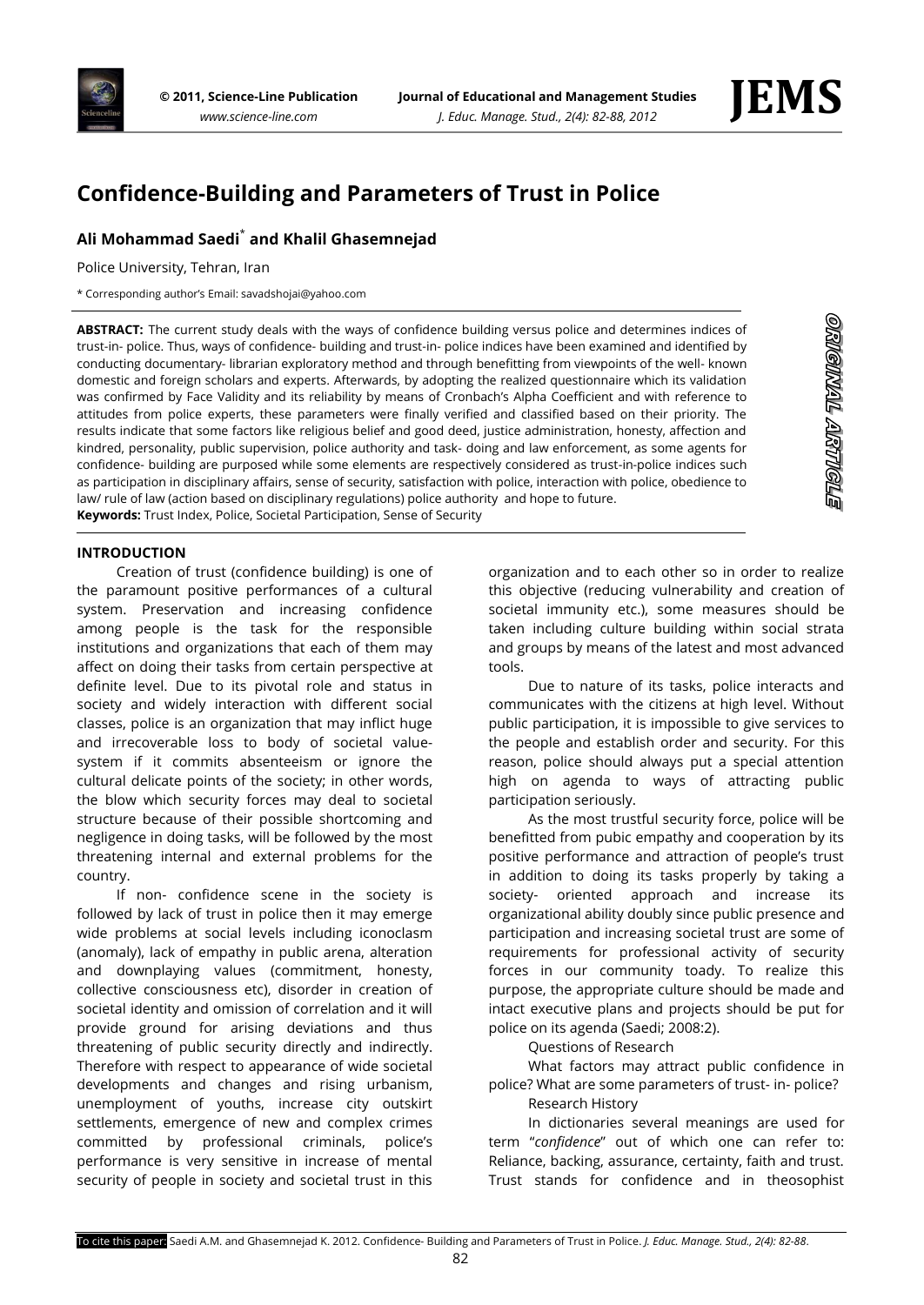

# **Confidence-Building and Parameters of Trust in Police**

# **Ali Mohammad Saedi**\* **and Khalil Ghasemnejad**

Police University, Tehran, Iran

\* Corresponding author's Email: savadshojai@yahoo.com

**ABSTRACT:** The current study deals with the ways of confidence building versus police and determines indices of trust-in- police. Thus, ways of confidence- building and trust-in- police indices have been examined and identified by conducting documentary- librarian exploratory method and through benefitting from viewpoints of the well- known domestic and foreign scholars and experts. Afterwards, by adopting the realized questionnaire which its validation was confirmed by Face Validity and its reliability by means of Cronbach's Alpha Coefficient and with reference to attitudes from police experts, these parameters were finally verified and classified based on their priority. The results indicate that some factors like religious belief and good deed, justice administration, honesty, affection and kindred, personality, public supervision, police authority and task- doing and law enforcement, as some agents for confidence- building are purposed while some elements are respectively considered as trust-in-police indices such as participation in disciplinary affairs, sense of security, satisfaction with police, interaction with police, obedience to law/ rule of law (action based on disciplinary regulations) police authority and hope to future. **Keywords:** Trust Index, Police, Societal Participation, Sense of Security

### **INTRODUCTION**

Creation of trust (confidence building) is one of the paramount positive performances of a cultural system. Preservation and increasing confidence among people is the task for the responsible institutions and organizations that each of them may affect on doing their tasks from certain perspective at definite level. Due to its pivotal role and status in society and widely interaction with different social classes, police is an organization that may inflict huge and irrecoverable loss to body of societal valuesystem if it commits absenteeism or ignore the cultural delicate points of the society; in other words, the blow which security forces may deal to societal structure because of their possible shortcoming and negligence in doing tasks, will be followed by the most threatening internal and external problems for the country.

If non- confidence scene in the society is followed by lack of trust in police then it may emerge wide problems at social levels including iconoclasm (anomaly), lack of empathy in public arena, alteration and downplaying values (commitment, honesty, collective consciousness etc), disorder in creation of societal identity and omission of correlation and it will provide ground for arising deviations and thus threatening of public security directly and indirectly. Therefore with respect to appearance of wide societal developments and changes and rising urbanism, unemployment of youths, increase city outskirt settlements, emergence of new and complex crimes committed by professional criminals, police's performance is very sensitive in increase of mental security of people in society and societal trust in this

organization and to each other so in order to realize this objective (reducing vulnerability and creation of societal immunity etc.), some measures should be taken including culture building within social strata and groups by means of the latest and most advanced tools.

Due to nature of its tasks, police interacts and communicates with the citizens at high level. Without public participation, it is impossible to give services to the people and establish order and security. For this reason, police should always put a special attention high on agenda to ways of attracting public participation seriously.

As the most trustful security force, police will be benefitted from pubic empathy and cooperation by its positive performance and attraction of people's trust in addition to doing its tasks properly by taking a society- oriented approach and increase its organizational ability doubly since public presence and participation and increasing societal trust are some of requirements for professional activity of security forces in our community toady. To realize this purpose, the appropriate culture should be made and intact executive plans and projects should be put for police on its agenda (Saedi; 2008:2).

Questions of Research

What factors may attract public confidence in police? What are some parameters of trust- in- police? Research History

In dictionaries several meanings are used for term "*confidence*" out of which one can refer to: Reliance, backing, assurance, certainty, faith and trust. Trust stands for confidence and in theosophist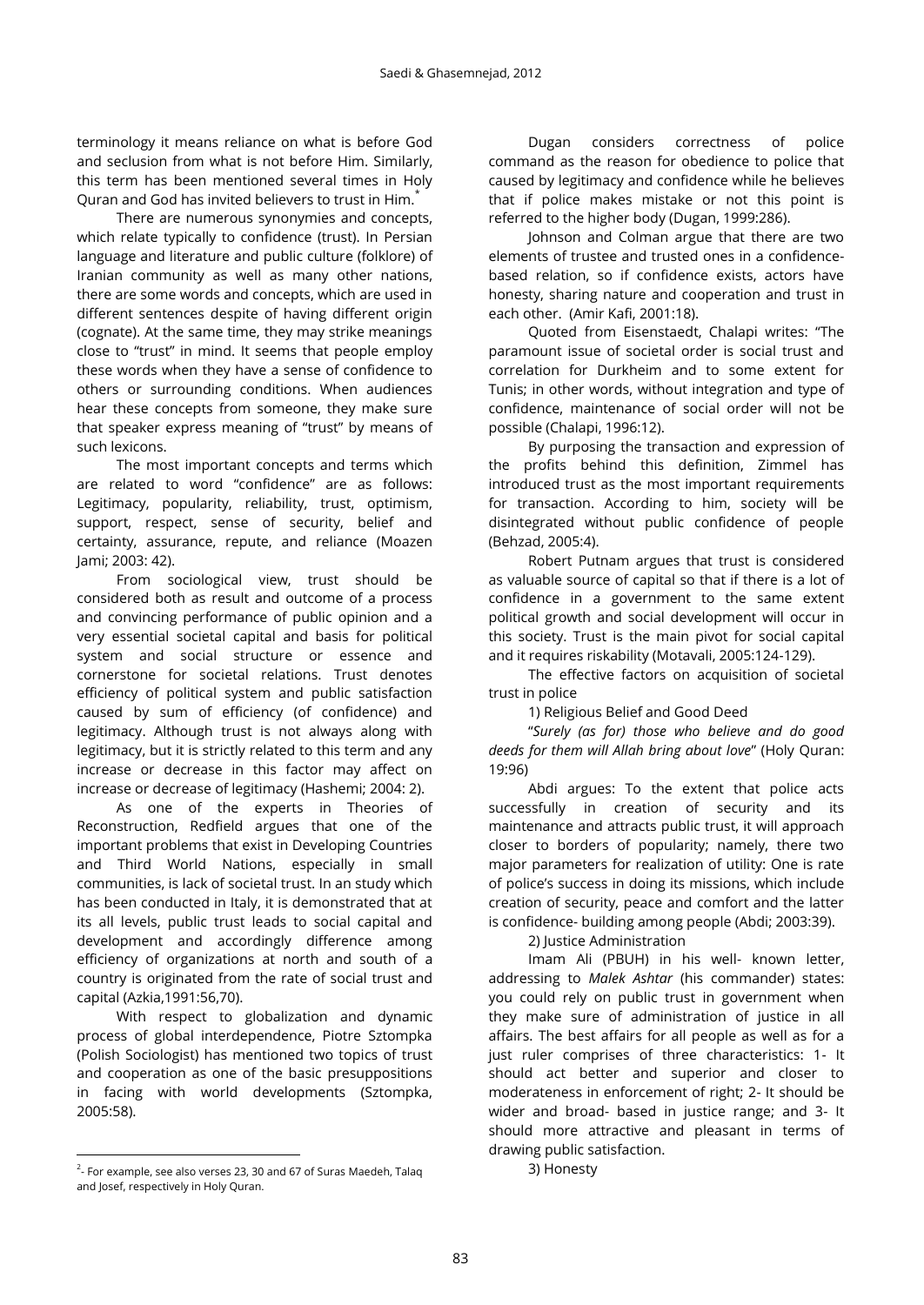terminology it means reliance on what is before God and seclusion from what is not before Him. Similarly, this term has been mentioned several times in Holy Quran and God has invited believers to trust in Him.\*

There are numerous synonymies and concepts, which relate typically to confidence (trust). In Persian language and literature and public culture (folklore) of Iranian community as well as many other nations, there are some words and concepts, which are used in different sentences despite of having different origin (cognate). At the same time, they may strike meanings close to "trust" in mind. It seems that people employ these words when they have a sense of confidence to others or surrounding conditions. When audiences hear these concepts from someone, they make sure that speaker express meaning of "trust" by means of such lexicons.

The most important concepts and terms which are related to word "confidence" are as follows: Legitimacy, popularity, reliability, trust, optimism, support, respect, sense of security, belief and certainty, assurance, repute, and reliance (Moazen Jami; 2003: 42).

From sociological view, trust should be considered both as result and outcome of a process and convincing performance of public opinion and a very essential societal capital and basis for political system and social structure or essence and cornerstone for societal relations. Trust denotes efficiency of political system and public satisfaction caused by sum of efficiency (of confidence) and legitimacy. Although trust is not always along with legitimacy, but it is strictly related to this term and any increase or decrease in this factor may affect on increase or decrease of legitimacy (Hashemi; 2004: 2).

As one of the experts in Theories of Reconstruction, Redfield argues that one of the important problems that exist in Developing Countries and Third World Nations, especially in small communities, is lack of societal trust. In an study which has been conducted in Italy, it is demonstrated that at its all levels, public trust leads to social capital and development and accordingly difference among efficiency of organizations at north and south of a country is originated from the rate of social trust and capital (Azkia,1991:56,70).

With respect to globalization and dynamic process of global interdependence, Piotre Sztompka (Polish Sociologist) has mentioned two topics of trust and cooperation as one of the basic presuppositions in facing with world developments (Sztompka, 2005:58).

 $\overline{a}$ 

Dugan considers correctness of police command as the reason for obedience to police that caused by legitimacy and confidence while he believes that if police makes mistake or not this point is referred to the higher body (Dugan, 1999:286).

Johnson and Colman argue that there are two elements of trustee and trusted ones in a confidencebased relation, so if confidence exists, actors have honesty, sharing nature and cooperation and trust in each other. (Amir Kafi, 2001:18).

Quoted from Eisenstaedt, Chalapi writes: "The paramount issue of societal order is social trust and correlation for Durkheim and to some extent for Tunis; in other words, without integration and type of confidence, maintenance of social order will not be possible (Chalapi, 1996:12).

By purposing the transaction and expression of the profits behind this definition, Zimmel has introduced trust as the most important requirements for transaction. According to him, society will be disintegrated without public confidence of people (Behzad, 2005:4).

Robert Putnam argues that trust is considered as valuable source of capital so that if there is a lot of confidence in a government to the same extent political growth and social development will occur in this society. Trust is the main pivot for social capital and it requires riskability (Motavali, 2005:124-129).

The effective factors on acquisition of societal trust in police

1) Religious Belief and Good Deed

"*Surely (as for) those who believe and do good deeds for them will Allah bring about love*" (Holy Quran: 19:96)

Abdi argues: To the extent that police acts successfully in creation of security and its maintenance and attracts public trust, it will approach closer to borders of popularity; namely, there two major parameters for realization of utility: One is rate of police's success in doing its missions, which include creation of security, peace and comfort and the latter is confidence- building among people (Abdi; 2003:39).

2) Justice Administration

Imam Ali (PBUH) in his well- known letter, addressing to *Malek Ashtar* (his commander) states: you could rely on public trust in government when they make sure of administration of justice in all affairs. The best affairs for all people as well as for a just ruler comprises of three characteristics: 1- It should act better and superior and closer to moderateness in enforcement of right; 2- It should be wider and broad- based in justice range; and 3- It should more attractive and pleasant in terms of drawing public satisfaction.

3) Honesty

 $2$ - For example, see also verses 23, 30 and 67 of Suras Maedeh, Talaq and Josef, respectively in Holy Quran.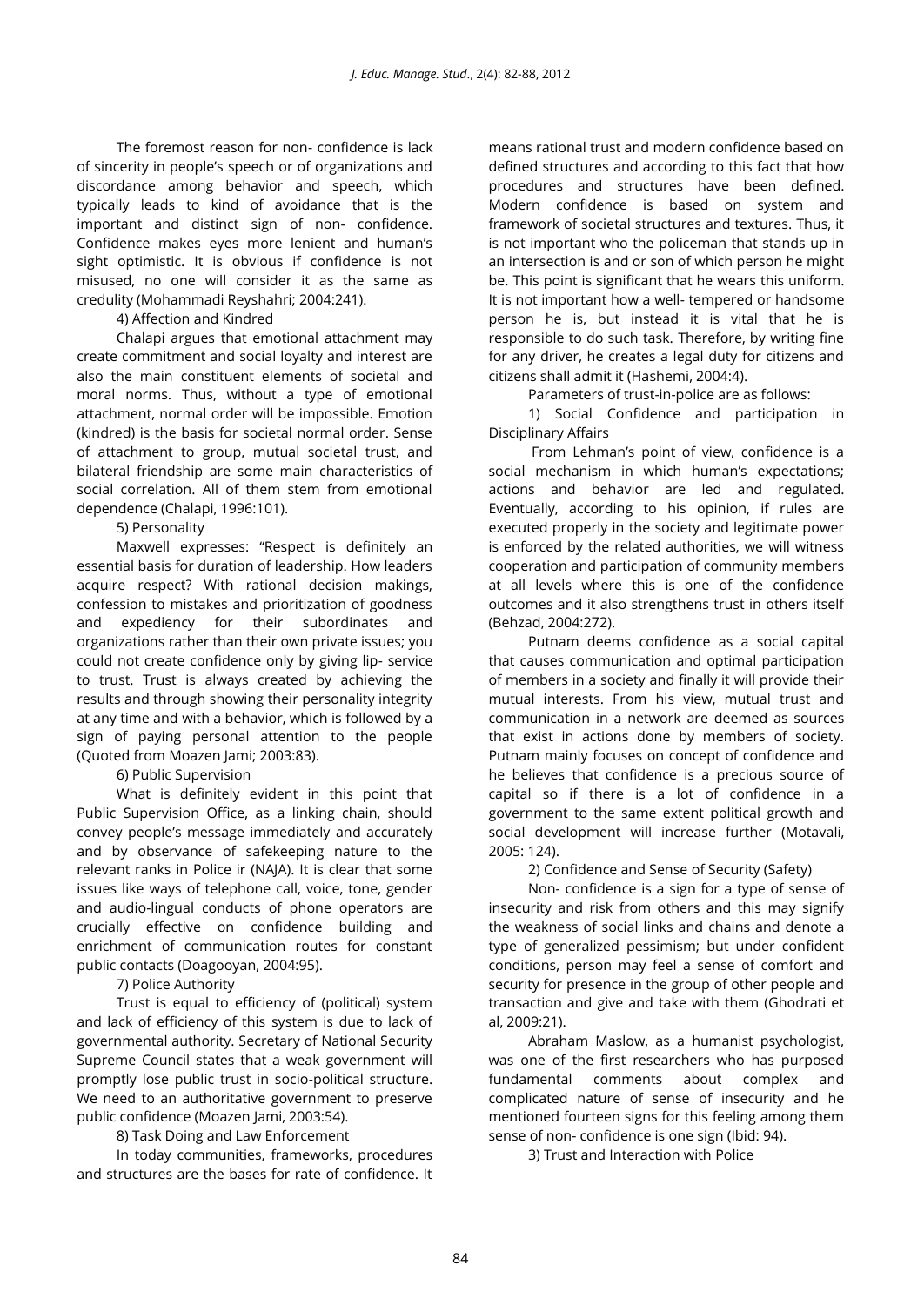The foremost reason for non- confidence is lack of sincerity in people's speech or of organizations and discordance among behavior and speech, which typically leads to kind of avoidance that is the important and distinct sign of non- confidence. Confidence makes eyes more lenient and human's sight optimistic. It is obvious if confidence is not misused, no one will consider it as the same as credulity (Mohammadi Reyshahri; 2004:241).

### 4) Affection and Kindred

Chalapi argues that emotional attachment may create commitment and social loyalty and interest are also the main constituent elements of societal and moral norms. Thus, without a type of emotional attachment, normal order will be impossible. Emotion (kindred) is the basis for societal normal order. Sense of attachment to group, mutual societal trust, and bilateral friendship are some main characteristics of social correlation. All of them stem from emotional dependence (Chalapi, 1996:101).

5) Personality

Maxwell expresses: "Respect is definitely an essential basis for duration of leadership. How leaders acquire respect? With rational decision makings, confession to mistakes and prioritization of goodness and expediency for their subordinates and organizations rather than their own private issues; you could not create confidence only by giving lip- service to trust. Trust is always created by achieving the results and through showing their personality integrity at any time and with a behavior, which is followed by a sign of paying personal attention to the people (Quoted from Moazen Jami; 2003:83).

6) Public Supervision

What is definitely evident in this point that Public Supervision Office, as a linking chain, should convey people's message immediately and accurately and by observance of safekeeping nature to the relevant ranks in Police ir (NAJA). It is clear that some issues like ways of telephone call, voice, tone, gender and audio-lingual conducts of phone operators are crucially effective on confidence building and enrichment of communication routes for constant public contacts (Doagooyan, 2004:95).

7) Police Authority

Trust is equal to efficiency of (political) system and lack of efficiency of this system is due to lack of governmental authority. Secretary of National Security Supreme Council states that a weak government will promptly lose public trust in socio-political structure. We need to an authoritative government to preserve public confidence (Moazen Jami, 2003:54).

8) Task Doing and Law Enforcement

In today communities, frameworks, procedures and structures are the bases for rate of confidence. It

means rational trust and modern confidence based on defined structures and according to this fact that how procedures and structures have been defined. Modern confidence is based on system and framework of societal structures and textures. Thus, it is not important who the policeman that stands up in an intersection is and or son of which person he might be. This point is significant that he wears this uniform. It is not important how a well- tempered or handsome person he is, but instead it is vital that he is responsible to do such task. Therefore, by writing fine for any driver, he creates a legal duty for citizens and citizens shall admit it (Hashemi, 2004:4).

Parameters of trust-in-police are as follows:

1) Social Confidence and participation in Disciplinary Affairs

From Lehman's point of view, confidence is a social mechanism in which human's expectations; actions and behavior are led and regulated. Eventually, according to his opinion, if rules are executed properly in the society and legitimate power is enforced by the related authorities, we will witness cooperation and participation of community members at all levels where this is one of the confidence outcomes and it also strengthens trust in others itself (Behzad, 2004:272).

Putnam deems confidence as a social capital that causes communication and optimal participation of members in a society and finally it will provide their mutual interests. From his view, mutual trust and communication in a network are deemed as sources that exist in actions done by members of society. Putnam mainly focuses on concept of confidence and he believes that confidence is a precious source of capital so if there is a lot of confidence in a government to the same extent political growth and social development will increase further (Motavali, 2005: 124).

2) Confidence and Sense of Security (Safety)

Non- confidence is a sign for a type of sense of insecurity and risk from others and this may signify the weakness of social links and chains and denote a type of generalized pessimism; but under confident conditions, person may feel a sense of comfort and security for presence in the group of other people and transaction and give and take with them (Ghodrati et al, 2009:21).

Abraham Maslow, as a humanist psychologist, was one of the first researchers who has purposed fundamental comments about complex and complicated nature of sense of insecurity and he mentioned fourteen signs for this feeling among them sense of non- confidence is one sign (Ibid: 94).

3) Trust and Interaction with Police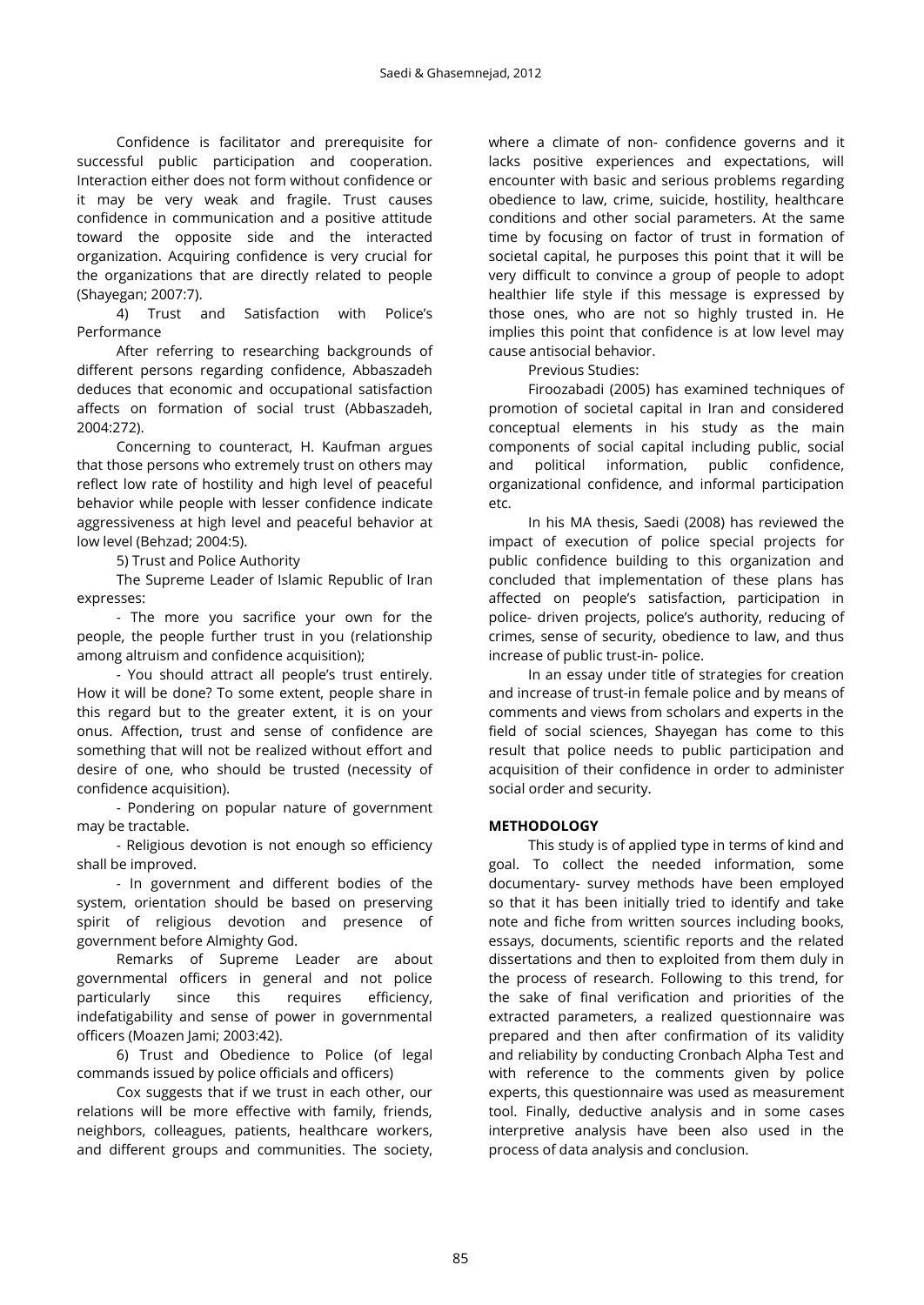Confidence is facilitator and prerequisite for successful public participation and cooperation. Interaction either does not form without confidence or it may be very weak and fragile. Trust causes confidence in communication and a positive attitude toward the opposite side and the interacted organization. Acquiring confidence is very crucial for the organizations that are directly related to people (Shayegan; 2007:7).

4) Trust and Satisfaction with Police's Performance

After referring to researching backgrounds of different persons regarding confidence, Abbaszadeh deduces that economic and occupational satisfaction affects on formation of social trust (Abbaszadeh, 2004:272).

Concerning to counteract, H. Kaufman argues that those persons who extremely trust on others may reflect low rate of hostility and high level of peaceful behavior while people with lesser confidence indicate aggressiveness at high level and peaceful behavior at low level (Behzad; 2004:5).

5) Trust and Police Authority

The Supreme Leader of Islamic Republic of Iran expresses:

- The more you sacrifice your own for the people, the people further trust in you (relationship among altruism and confidence acquisition);

- You should attract all people's trust entirely. How it will be done? To some extent, people share in this regard but to the greater extent, it is on your onus. Affection, trust and sense of confidence are something that will not be realized without effort and desire of one, who should be trusted (necessity of confidence acquisition).

- Pondering on popular nature of government may be tractable.

- Religious devotion is not enough so efficiency shall be improved.

- In government and different bodies of the system, orientation should be based on preserving spirit of religious devotion and presence of government before Almighty God.

Remarks of Supreme Leader are about governmental officers in general and not police particularly since this requires efficiency, indefatigability and sense of power in governmental officers (Moazen Jami; 2003:42).

6) Trust and Obedience to Police (of legal commands issued by police officials and officers)

Cox suggests that if we trust in each other, our relations will be more effective with family, friends, neighbors, colleagues, patients, healthcare workers, and different groups and communities. The society, where a climate of non- confidence governs and it lacks positive experiences and expectations, will encounter with basic and serious problems regarding obedience to law, crime, suicide, hostility, healthcare conditions and other social parameters. At the same time by focusing on factor of trust in formation of societal capital, he purposes this point that it will be very difficult to convince a group of people to adopt healthier life style if this message is expressed by those ones, who are not so highly trusted in. He implies this point that confidence is at low level may cause antisocial behavior.

Previous Studies:

Firoozabadi (2005) has examined techniques of promotion of societal capital in Iran and considered conceptual elements in his study as the main components of social capital including public, social and political information, public confidence, organizational confidence, and informal participation etc.

In his MA thesis, Saedi (2008) has reviewed the impact of execution of police special projects for public confidence building to this organization and concluded that implementation of these plans has affected on people's satisfaction, participation in police- driven projects, police's authority, reducing of crimes, sense of security, obedience to law, and thus increase of public trust-in- police.

In an essay under title of strategies for creation and increase of trust-in female police and by means of comments and views from scholars and experts in the field of social sciences, Shayegan has come to this result that police needs to public participation and acquisition of their confidence in order to administer social order and security.

## **METHODOLOGY**

This study is of applied type in terms of kind and goal. To collect the needed information, some documentary- survey methods have been employed so that it has been initially tried to identify and take note and fiche from written sources including books, essays, documents, scientific reports and the related dissertations and then to exploited from them duly in the process of research. Following to this trend, for the sake of final verification and priorities of the extracted parameters, a realized questionnaire was prepared and then after confirmation of its validity and reliability by conducting Cronbach Alpha Test and with reference to the comments given by police experts, this questionnaire was used as measurement tool. Finally, deductive analysis and in some cases interpretive analysis have been also used in the process of data analysis and conclusion.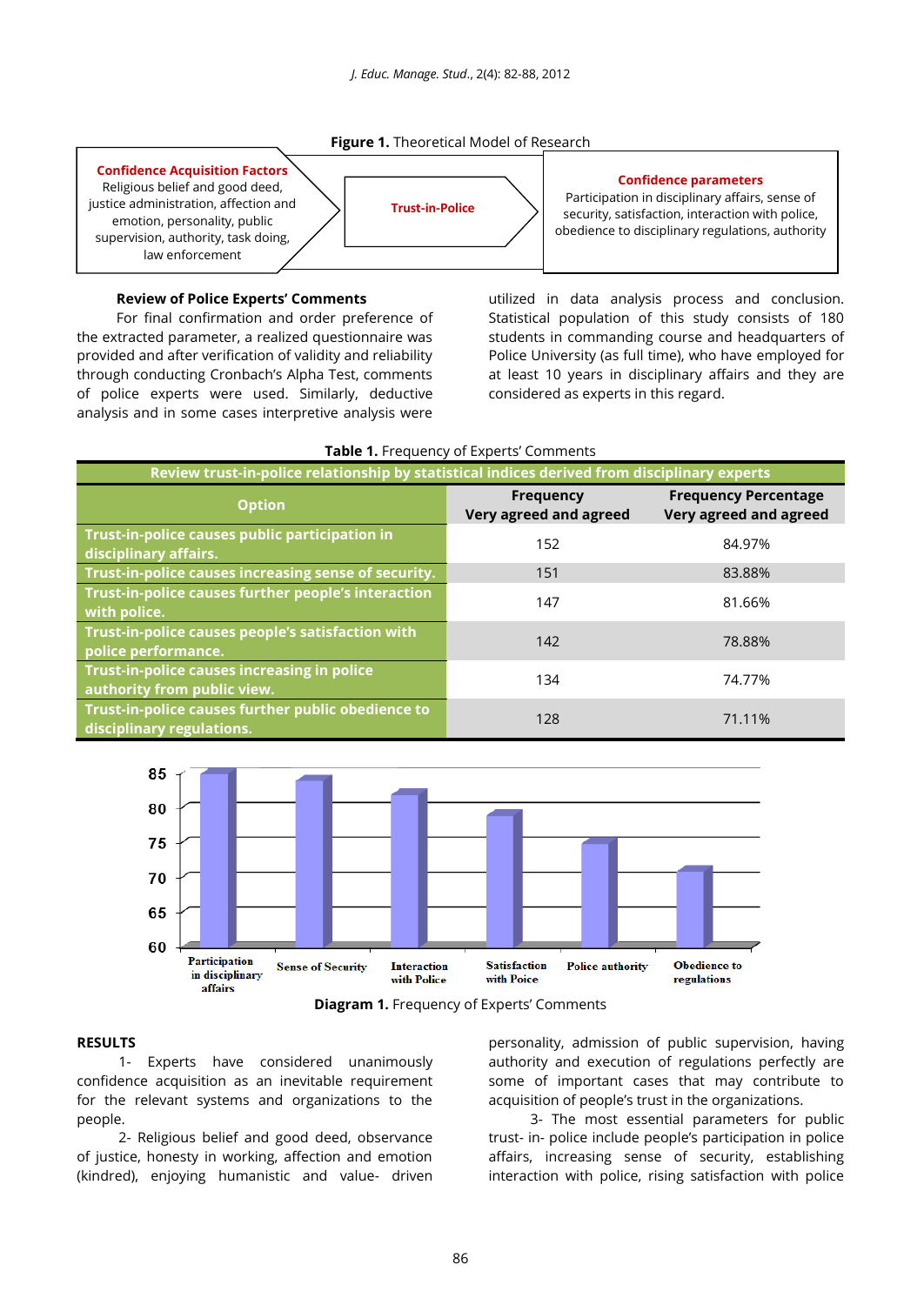**Figure 1.** Theoretical Model of Research

### **Confidence Acquisition Factors**

Religious belief and good deed, justice administration, affection and emotion, personality, public supervision, authority, task doing, law enforcement

# **Trust-in-Police**

### **Confidence parameters**

Participation in disciplinary affairs, sense of security, satisfaction, interaction with police, obedience to disciplinary regulations, authority

### **Review of Police Experts' Comments**

For final confirmation and order preference of the extracted parameter, a realized questionnaire was provided and after verification of validity and reliability through conducting Cronbach's Alpha Test, comments of police experts were used. Similarly, deductive analysis and in some cases interpretive analysis were

utilized in data analysis process and conclusion. Statistical population of this study consists of 180 students in commanding course and headquarters of Police University (as full time), who have employed for at least 10 years in disciplinary affairs and they are considered as experts in this regard.

| Review trust-in-police relationship by statistical indices derived from disciplinary experts |                                            |                                                       |
|----------------------------------------------------------------------------------------------|--------------------------------------------|-------------------------------------------------------|
| <b>Option</b>                                                                                | <b>Frequency</b><br>Very agreed and agreed | <b>Frequency Percentage</b><br>Very agreed and agreed |
| Trust-in-police causes public participation in<br>disciplinary affairs.                      | 152                                        | 84.97%                                                |
| Trust-in-police causes increasing sense of security.                                         | 151                                        | 83.88%                                                |
| Trust-in-police causes further people's interaction<br>with police.                          | 147                                        | 81.66%                                                |
| Trust-in-police causes people's satisfaction with<br>police performance.                     | 142                                        | 78.88%                                                |
| Trust-in-police causes increasing in police<br>authority from public view.                   | 134                                        | 74.77%                                                |
| Trust-in-police causes further public obedience to<br>disciplinary regulations.              | 128                                        | 71.11%                                                |

**Table 1.** Frequency of Experts' Comments





### **RESULTS**

1- Experts have considered unanimously confidence acquisition as an inevitable requirement for the relevant systems and organizations to the people.

2- Religious belief and good deed, observance of justice, honesty in working, affection and emotion (kindred), enjoying humanistic and value- driven

personality, admission of public supervision, having authority and execution of regulations perfectly are some of important cases that may contribute to acquisition of people's trust in the organizations.

3- The most essential parameters for public trust- in- police include people's participation in police affairs, increasing sense of security, establishing interaction with police, rising satisfaction with police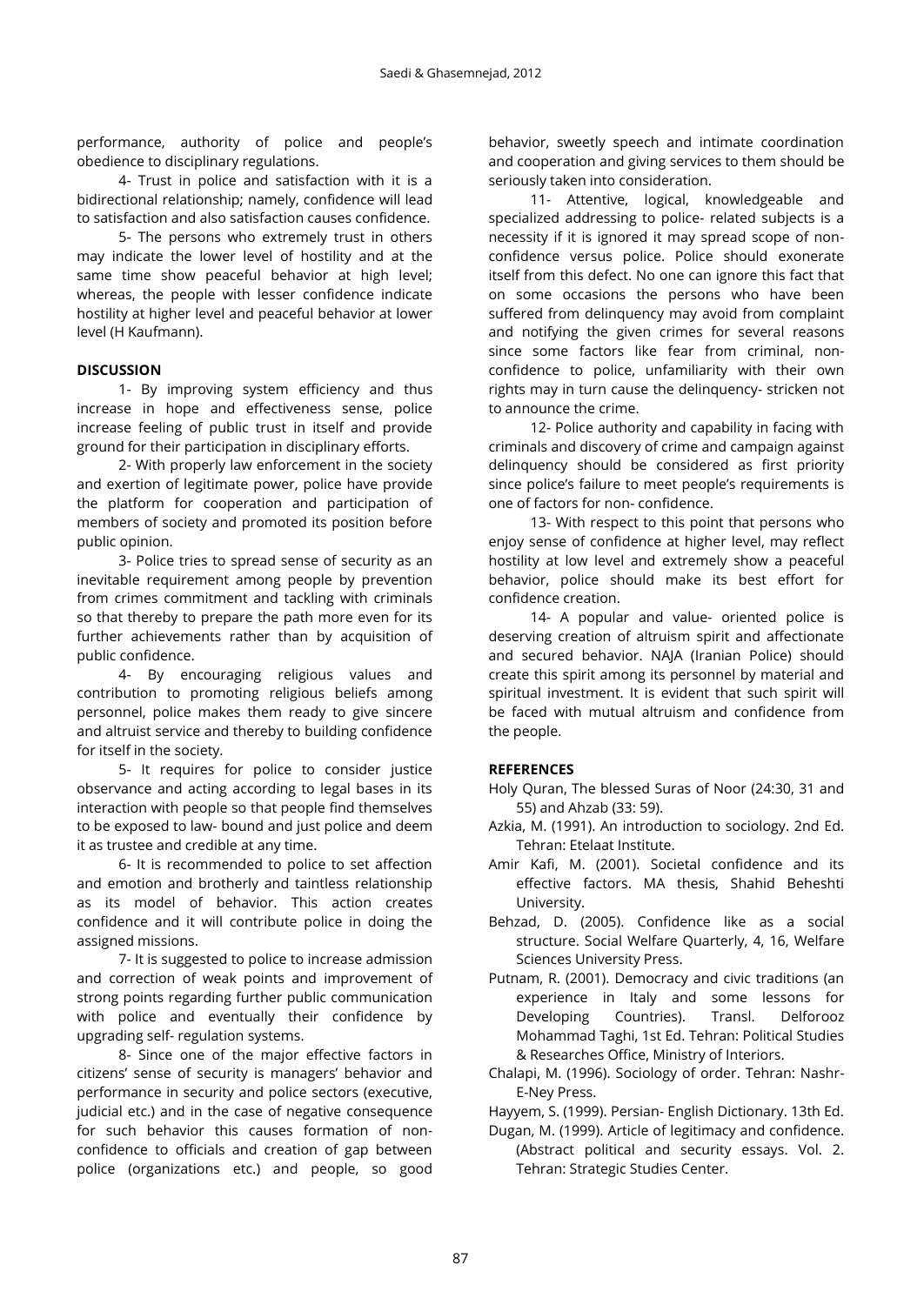performance, authority of police and people's obedience to disciplinary regulations.

4- Trust in police and satisfaction with it is a bidirectional relationship; namely, confidence will lead to satisfaction and also satisfaction causes confidence.

5- The persons who extremely trust in others may indicate the lower level of hostility and at the same time show peaceful behavior at high level; whereas, the people with lesser confidence indicate hostility at higher level and peaceful behavior at lower level (H Kaufmann).

### **DISCUSSION**

1- By improving system efficiency and thus increase in hope and effectiveness sense, police increase feeling of public trust in itself and provide ground for their participation in disciplinary efforts.

2- With properly law enforcement in the society and exertion of legitimate power, police have provide the platform for cooperation and participation of members of society and promoted its position before public opinion.

3- Police tries to spread sense of security as an inevitable requirement among people by prevention from crimes commitment and tackling with criminals so that thereby to prepare the path more even for its further achievements rather than by acquisition of public confidence.

4- By encouraging religious values and contribution to promoting religious beliefs among personnel, police makes them ready to give sincere and altruist service and thereby to building confidence for itself in the society.

5- It requires for police to consider justice observance and acting according to legal bases in its interaction with people so that people find themselves to be exposed to law- bound and just police and deem it as trustee and credible at any time.

6- It is recommended to police to set affection and emotion and brotherly and taintless relationship as its model of behavior. This action creates confidence and it will contribute police in doing the assigned missions.

7- It is suggested to police to increase admission and correction of weak points and improvement of strong points regarding further public communication with police and eventually their confidence by upgrading self- regulation systems.

8- Since one of the major effective factors in citizens' sense of security is managers' behavior and performance in security and police sectors (executive, judicial etc.) and in the case of negative consequence for such behavior this causes formation of nonconfidence to officials and creation of gap between police (organizations etc.) and people, so good

behavior, sweetly speech and intimate coordination and cooperation and giving services to them should be seriously taken into consideration.

11- Attentive, logical, knowledgeable and specialized addressing to police- related subjects is a necessity if it is ignored it may spread scope of nonconfidence versus police. Police should exonerate itself from this defect. No one can ignore this fact that on some occasions the persons who have been suffered from delinquency may avoid from complaint and notifying the given crimes for several reasons since some factors like fear from criminal, nonconfidence to police, unfamiliarity with their own rights may in turn cause the delinquency- stricken not to announce the crime.

12- Police authority and capability in facing with criminals and discovery of crime and campaign against delinquency should be considered as first priority since police's failure to meet people's requirements is one of factors for non- confidence.

13- With respect to this point that persons who enjoy sense of confidence at higher level, may reflect hostility at low level and extremely show a peaceful behavior, police should make its best effort for confidence creation.

14- A popular and value- oriented police is deserving creation of altruism spirit and affectionate and secured behavior. NAJA (Iranian Police) should create this spirit among its personnel by material and spiritual investment. It is evident that such spirit will be faced with mutual altruism and confidence from the people.

## **REFERENCES**

- Holy Quran, The blessed Suras of Noor (24:30, 31 and 55) and Ahzab (33: 59).
- Azkia, M. (1991). An introduction to sociology. 2nd Ed. Tehran: Etelaat Institute.
- Amir Kafi, M. (2001). Societal confidence and its effective factors. MA thesis, Shahid Beheshti University.
- Behzad, D. (2005). Confidence like as a social structure. Social Welfare Quarterly, 4, 16, Welfare Sciences University Press.
- Putnam, R. (2001). Democracy and civic traditions (an experience in Italy and some lessons for Developing Countries). Transl. Delforooz Mohammad Taghi, 1st Ed. Tehran: Political Studies & Researches Office, Ministry of Interiors.
- Chalapi, M. (1996). Sociology of order. Tehran: Nashr-E-Ney Press.

Hayyem, S. (1999). Persian- English Dictionary. 13th Ed.

Dugan, M. (1999). Article of legitimacy and confidence. (Abstract political and security essays. Vol. 2. Tehran: Strategic Studies Center.